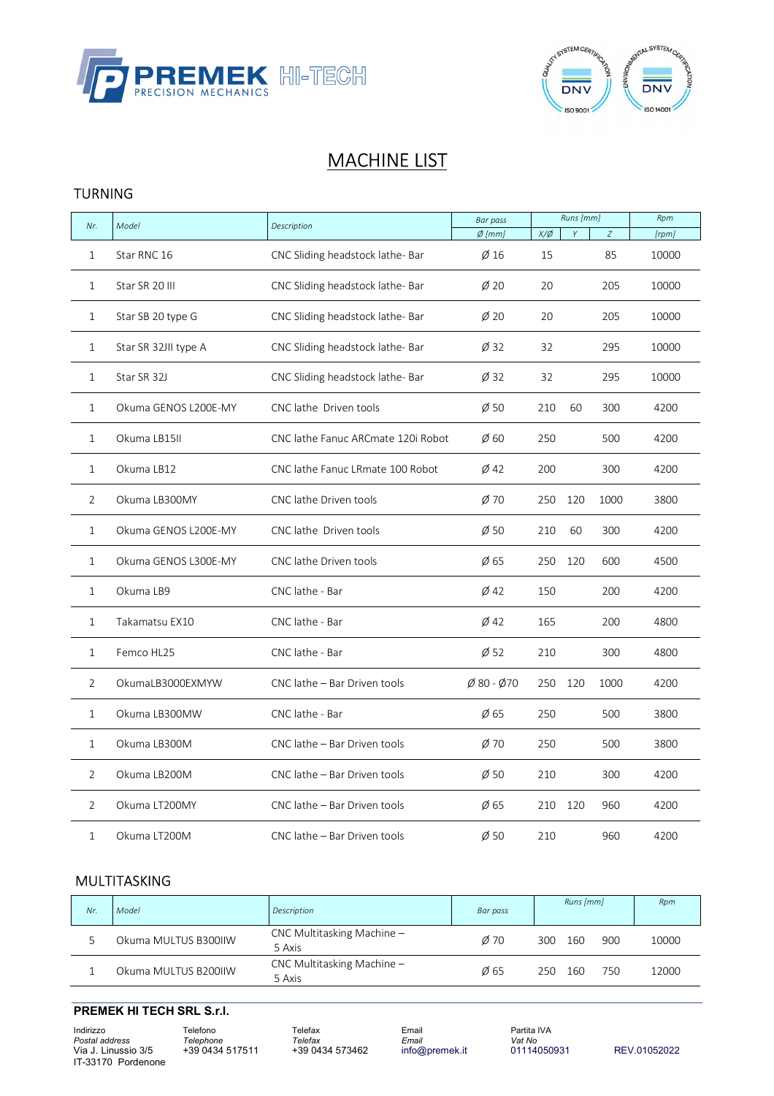



# **MACHINE LIST**

#### TURNING

|                | Model                |                                                             | <b>Bar pass</b>                 |               | Runs [mm]  |      | Rpm   |
|----------------|----------------------|-------------------------------------------------------------|---------------------------------|---------------|------------|------|-------|
| Nr.            |                      | Description                                                 | $Ø$ [mm]                        | $X/\emptyset$ | Y          | Z    | [rpm] |
| 1              | Star RNC 16          | CNC Sliding headstock lathe- Bar                            | $\emptyset$ 16                  | 15            |            | 85   | 10000 |
| 1              | Star SR 20 III       | CNC Sliding headstock lathe- Bar                            | $\emptyset$ 20                  | 20            | 205        |      | 10000 |
| $\mathbf{1}$   | Star SB 20 type G    | CNC Sliding headstock lathe- Bar                            | Ø20                             | 20            |            | 205  | 10000 |
| $\mathbf{1}$   | Star SR 32JII type A | CNC Sliding headstock lathe- Bar                            | $\emptyset$ 32                  | 32            |            | 295  | 10000 |
| 1              | Star SR 32J          | CNC Sliding headstock lathe- Bar                            | $\varnothing$ 32                | 32            |            | 295  | 10000 |
| $\mathbf{1}$   | Okuma GENOS L200E-MY | CNC lathe Driven tools                                      | $\varnothing$ 50                | 210           | 60         | 300  | 4200  |
| $\mathbf{1}$   | Okuma LB15II         | CNC lathe Fanuc ARCmate 120i Robot<br>$\emptyset$ 60<br>250 |                                 | 500           | 4200       |      |       |
| $\mathbf 1$    | Okuma LB12           | CNC lathe Fanuc LRmate 100 Robot<br>$\emptyset$ 42<br>200   |                                 | 300           | 4200       |      |       |
| $\overline{2}$ | Okuma LB300MY        | CNC lathe Driven tools                                      | Ø70                             | 250           | 120        | 1000 | 3800  |
| 1              | Okuma GENOS L200E-MY | CNC lathe Driven tools                                      | $\emptyset$ 50                  | 210           | 60         | 300  | 4200  |
| $\mathbf{1}$   | Okuma GENOS L300E-MY | CNC lathe Driven tools                                      | $\emptyset$ 65<br>250<br>120    |               | 600        | 4500 |       |
| 1              | Okuma LB9            | CNC lathe - Bar                                             | $\emptyset$ 42                  | 150           | 200        |      | 4200  |
| 1              | Takamatsu EX10       | CNC lathe - Bar                                             | $\emptyset$ 42                  | 165           |            | 200  | 4800  |
| $\mathbf{1}$   | Femco HL25           | CNC lathe - Bar                                             | $\emptyset$ 52                  | 210           |            | 300  | 4800  |
| 2              | OkumaLB3000EXMYW     | CNC lathe - Bar Driven tools                                | $\emptyset$ 80 - $\emptyset$ 70 | 250           | 120        | 1000 | 4200  |
| 1              | Okuma LB300MW        | CNC lathe - Bar                                             | $\emptyset$ 65                  | 250           |            | 500  | 3800  |
| $\mathbf{1}$   | Okuma LB300M         | CNC lathe - Bar Driven tools                                | $\emptyset$ 70                  | 250           |            | 500  | 3800  |
| 2              | Okuma LB200M         | CNC lathe - Bar Driven tools                                | $\emptyset$ 50                  | 210           |            | 300  | 4200  |
| $\overline{2}$ | Okuma LT200MY        | CNC lathe - Bar Driven tools                                | Ø65                             | 210           | 120<br>960 |      | 4200  |
| 1              | Okuma LT200M         | CNC lathe – Bar Driven tools                                | $\varnothing$ 50                | 210           |            | 960  | 4200  |

# MULTITASKING

| Nr | Model                | Description                          | Bar pass       | Runs [mm]         | Rpm   |
|----|----------------------|--------------------------------------|----------------|-------------------|-------|
|    | Okuma MULTUS B300IIW | CNC Multitasking Machine -<br>5 Axis | $\emptyset$ 70 | 900<br>300<br>160 | 10000 |
|    | Okuma MULTUS B200IIW | CNC Multitasking Machine -<br>5 Axis | $\emptyset$ 65 | 160<br>750<br>250 | 12000 |

#### **PREMEK HI TECH SRL S.r.l.**

Indirizzo Telefono Telefax Email Partita IVA *Postal address Telephone Telefax Email Vat No* Via J. Linussio 3/5 +39 0434 517511 +39 0434 573462 info@premek.it 01114050931 REV.01052022 IT-33170 Pordenone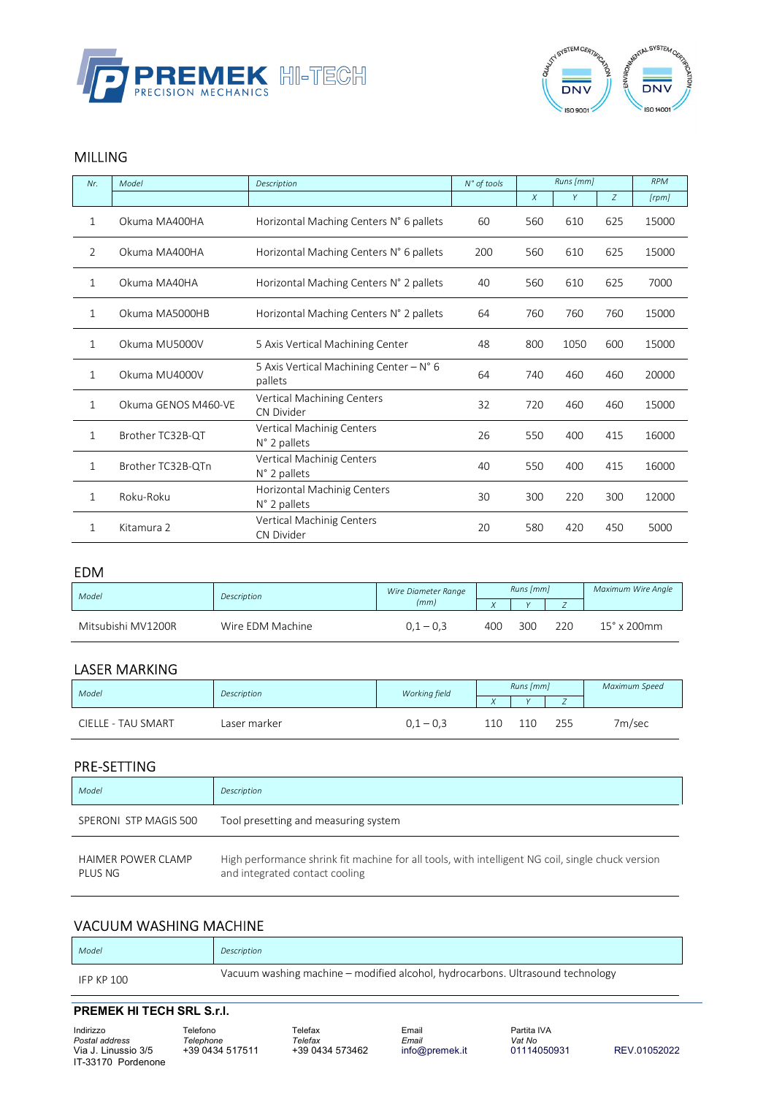



# MILLING

| Nr.          | Model               | Description                                        | N° of tools | Runs [mm] |      | <b>RPM</b> |       |
|--------------|---------------------|----------------------------------------------------|-------------|-----------|------|------------|-------|
|              |                     |                                                    |             | $\chi$    | Y    | Z          | [rpm] |
| 1            | Okuma MA400HA       | Horizontal Maching Centers N° 6 pallets            | 60          | 560       | 610  | 625        | 15000 |
| 2            | Okuma MA400HA       | Horizontal Maching Centers N° 6 pallets            | 200         | 560       | 610  | 625        | 15000 |
| 1            | Okuma MA40HA        | Horizontal Maching Centers N° 2 pallets            | 40          | 560       | 610  | 625        | 7000  |
| 1            | Okuma MA5000HB      | Horizontal Maching Centers N° 2 pallets            | 64          | 760       | 760  | 760        | 15000 |
| $\mathbf{1}$ | Okuma MU5000V       | 5 Axis Vertical Machining Center                   | 48          | 800       | 1050 | 600        | 15000 |
| 1            | Okuma MU4000V       | 5 Axis Vertical Machining Center - N° 6<br>pallets | 64          | 740       | 460  | 460        | 20000 |
| 1            | Okuma GENOS M460-VE | Vertical Machining Centers<br>CN Divider           | 32          | 720       | 460  | 460        | 15000 |
| 1            | Brother TC32B-QT    | Vertical Machinig Centers<br>N° 2 pallets          | 26          | 550       | 400  | 415        | 16000 |
| 1            | Brother TC32B-QTn   | Vertical Machinig Centers<br>N° 2 pallets          | 40          | 550       | 400  | 415        | 16000 |
| 1            | Roku-Roku           | Horizontal Machinig Centers<br>N° 2 pallets        | 30          | 300       | 220  | 300        | 12000 |
| 1            | Kitamura 2          | Vertical Machinig Centers<br>CN Divider            | 20          | 580       | 420  | 450        | 5000  |

#### EDM

| Model              | Description      | Wire Diameter Range |     | Runs [mm] |     | Maximum Wire Anale           |
|--------------------|------------------|---------------------|-----|-----------|-----|------------------------------|
|                    |                  | (mm)                |     |           |     |                              |
| Mitsubishi MV1200R | Wire EDM Machine | $0.1 - 0.3$         | 400 | 300       | 220 | $15^\circ$ x 200 $\text{mm}$ |

# LASER MARKING

| Model              | Description  | Working field |     | Runs [mm]  |     | Maximum Speed |
|--------------------|--------------|---------------|-----|------------|-----|---------------|
|                    |              |               |     | $\sqrt{ }$ |     |               |
| CIELLE - TAU SMART | Laser marker | $-0.3$        | 110 | 110        | 255 | 7m/sec        |

## PRE-SETTING

| Model                                | Description                                                                                                                         |
|--------------------------------------|-------------------------------------------------------------------------------------------------------------------------------------|
| SPERONI STP MAGIS 500                | Tool presetting and measuring system                                                                                                |
| <b>HAIMER POWER CLAMP</b><br>PLUS NG | High performance shrink fit machine for all tools, with intelligent NG coil, single chuck version<br>and integrated contact cooling |

## VACUUM WASHING MACHINE

| Model      | Description                                                                    |
|------------|--------------------------------------------------------------------------------|
| IFP KP 100 | Vacuum washing machine – modified alcohol, hydrocarbons. Ultrasound technology |

#### **PREMEK HI TECH SRL S.r.l.**

Indirizzo Telefono Telefax Email Partita IVA Postal address Felephone Telefax Email Vat No.<br>Via J. Linussio 3/5 +39 0434 517511 +39 0434 573462 info@premek.it 01114050931 Via J. Linussio 3/5 +39 0434 517511 +39 0434 573462 info@premek.it 01114050931 REV.01052022 IT-33170 Pordenone